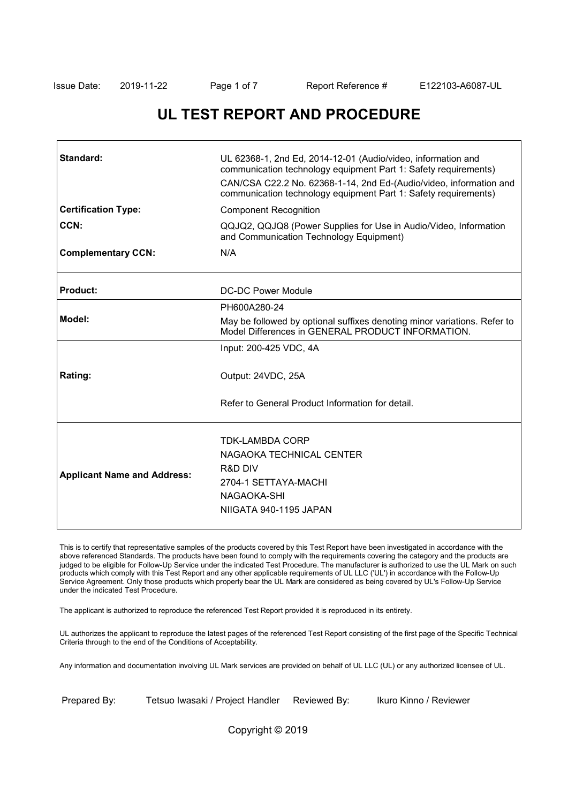٦

# **UL TEST REPORT AND PROCEDURE**

| Standard:                          | UL 62368-1, 2nd Ed, 2014-12-01 (Audio/video, information and<br>communication technology equipment Part 1: Safety requirements)<br>CAN/CSA C22.2 No. 62368-1-14, 2nd Ed-(Audio/video, information and<br>communication technology equipment Part 1: Safety requirements) |
|------------------------------------|--------------------------------------------------------------------------------------------------------------------------------------------------------------------------------------------------------------------------------------------------------------------------|
| <b>Certification Type:</b>         | <b>Component Recognition</b>                                                                                                                                                                                                                                             |
| CCN:                               | QQJQ2, QQJQ8 (Power Supplies for Use in Audio/Video, Information<br>and Communication Technology Equipment)                                                                                                                                                              |
| <b>Complementary CCN:</b>          | N/A                                                                                                                                                                                                                                                                      |
| Product:                           | DC-DC Power Module                                                                                                                                                                                                                                                       |
|                                    | PH600A280-24                                                                                                                                                                                                                                                             |
| Model:                             | May be followed by optional suffixes denoting minor variations. Refer to<br>Model Differences in GENERAL PRODUCT INFORMATION.                                                                                                                                            |
|                                    | Input: 200-425 VDC, 4A                                                                                                                                                                                                                                                   |
| Rating:                            | Output: 24VDC, 25A                                                                                                                                                                                                                                                       |
|                                    | Refer to General Product Information for detail                                                                                                                                                                                                                          |
| <b>Applicant Name and Address:</b> | <b>TDK-LAMBDA CORP</b><br>NAGAOKA TECHNICAL CENTER<br>R&D DIV<br>2704-1 SETTAYA-MACHI<br>NAGAOKA-SHI<br>NIIGATA 940-1195 JAPAN                                                                                                                                           |

This is to certify that representative samples of the products covered by this Test Report have been investigated in accordance with the above referenced Standards. The products have been found to comply with the requirements covering the category and the products are judged to be eligible for Follow-Up Service under the indicated Test Procedure. The manufacturer is authorized to use the UL Mark on such products which comply with this Test Report and any other applicable requirements of UL LLC ('UL') in accordance with the Follow-Up Service Agreement. Only those products which properly bear the UL Mark are considered as being covered by UL's Follow-Up Service under the indicated Test Procedure.

The applicant is authorized to reproduce the referenced Test Report provided it is reproduced in its entirety.

UL authorizes the applicant to reproduce the latest pages of the referenced Test Report consisting of the first page of the Specific Technical Criteria through to the end of the Conditions of Acceptability.

Any information and documentation involving UL Mark services are provided on behalf of UL LLC (UL) or any authorized licensee of UL.

Prepared By: Tetsuo Iwasaki / Project Handler Reviewed By: Ikuro Kinno / Reviewer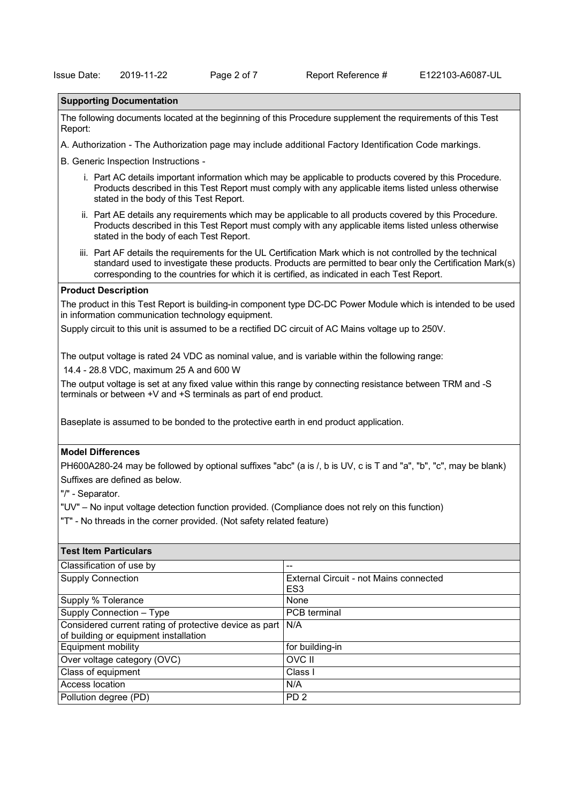### **Supporting Documentation**

The following documents located at the beginning of this Procedure supplement the requirements of this Test Report:

A. Authorization - The Authorization page may include additional Factory Identification Code markings.

B. Generic Inspection Instructions -

- i. Part AC details important information which may be applicable to products covered by this Procedure. Products described in this Test Report must comply with any applicable items listed unless otherwise stated in the body of this Test Report.
- ii. Part AE details any requirements which may be applicable to all products covered by this Procedure. Products described in this Test Report must comply with any applicable items listed unless otherwise stated in the body of each Test Report.
- iii. Part AF details the requirements for the UL Certification Mark which is not controlled by the technical standard used to investigate these products. Products are permitted to bear only the Certification Mark(s) corresponding to the countries for which it is certified, as indicated in each Test Report.

#### **Product Description**

The product in this Test Report is building-in component type DC-DC Power Module which is intended to be used in information communication technology equipment.

Supply circuit to this unit is assumed to be a rectified DC circuit of AC Mains voltage up to 250V.

The output voltage is rated 24 VDC as nominal value, and is variable within the following range:

14.4 - 28.8 VDC, maximum 25 A and 600 W

The output voltage is set at any fixed value within this range by connecting resistance between TRM and -S terminals or between +V and +S terminals as part of end product.

Baseplate is assumed to be bonded to the protective earth in end product application.

#### **Model Differences**

PH600A280-24 may be followed by optional suffixes "abc" (a is /, b is UV, c is T and "a", "b", "c", may be blank) Suffixes are defined as below.

"/" - Separator.

"UV" – No input voltage detection function provided. (Compliance does not rely on this function)

"T" - No threads in the corner provided. (Not safety related feature)

| <b>Test Item Particulars</b>                                                                    |                                                           |  |
|-------------------------------------------------------------------------------------------------|-----------------------------------------------------------|--|
| Classification of use by                                                                        | --                                                        |  |
| <b>Supply Connection</b>                                                                        | External Circuit - not Mains connected<br>ES <sub>3</sub> |  |
| Supply % Tolerance                                                                              | None                                                      |  |
| Supply Connection - Type                                                                        | PCB terminal                                              |  |
| Considered current rating of protective device as part<br>of building or equipment installation | N/A                                                       |  |
| Equipment mobility                                                                              | for building-in                                           |  |
| Over voltage category (OVC)                                                                     | OVC II                                                    |  |
| Class of equipment                                                                              | Class I                                                   |  |
| Access location                                                                                 | N/A                                                       |  |
| Pollution degree (PD)                                                                           | PD <sub>2</sub>                                           |  |